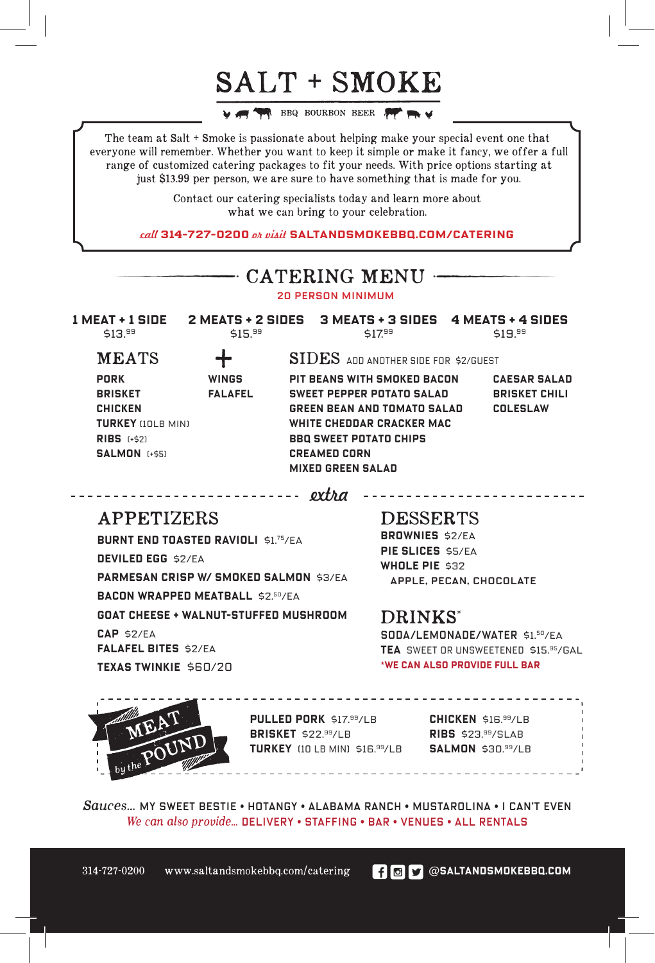## SALT + SMOKE

**WE ARE BEEN BOURBON BEER FOR THE** 

The team at Salt + Smoke is passionate about helping make your special event one that everyone will remember. Whether you want to keep it simple or make it fancy, we offer a full range of customized catering packages to fit your needs. With price options starting at just \$1**3**.99 per person, we are sure to have something that is made for you.

> Contact our catering specialists today and learn more about what we can bring to your celebration.

call **314-727-0200** or visit **SALTANDSMOKEBBQ.COM/CATERING**

| $-$ CATERING MENU $-$                                                                                         |                                                        |                                                                                                                                                                                                                                                                                                   |  |
|---------------------------------------------------------------------------------------------------------------|--------------------------------------------------------|---------------------------------------------------------------------------------------------------------------------------------------------------------------------------------------------------------------------------------------------------------------------------------------------------|--|
| <b>20 PERSON MINIMUM</b>                                                                                      |                                                        |                                                                                                                                                                                                                                                                                                   |  |
| \$13. <sup>99</sup>                                                                                           | \$15. <sup>99</sup>                                    | 1 MEAT + 1 SIDE 2 MEATS + 2 SIDES 3 MEATS + 3 SIDES 4 MEATS + 4 SIDES<br>\$17.99<br>\$19. <sup>99</sup>                                                                                                                                                                                           |  |
| <b>MEATS</b>                                                                                                  |                                                        | SIDES ADD ANOTHER SIDE FOR \$2/GUEST                                                                                                                                                                                                                                                              |  |
| PORK<br><b>BRISKET</b><br><b>CHICKEN</b><br><b>TURKEY</b> (10LB MIN)<br>$RIBS$ (+\$2)<br><b>SALMON [+\$5]</b> | <b>WINGS</b><br><b>FALAFEL</b><br>-------------------- | PIT BEANS WITH SMOKED BACON<br><b>CAESAR SALAD</b><br><b>SWEET PEPPER POTATO SALAD</b><br><b>BRISKET CHILI</b><br><b>GREEN BEAN AND TOMATO SALAD</b><br><b>COLESLAW</b><br>WHITE CHEDDAR CRACKER MAC<br><b>BBQ SWEET POTATO CHIPS</b><br><b>CREAMED CORN</b><br><b>MIXED GREEN SALAD</b><br>extra |  |
| <b>APPETIZERS</b>                                                                                             |                                                        | <b>DESSERTS</b><br><b>BROWNIES S2/EA</b>                                                                                                                                                                                                                                                          |  |
| <b>BURNT END TOASTED RAVIOLI \$1.75/EA</b><br>DEVILED EGG \$2/EA                                              |                                                        | PIE SLICES \$5/EA<br>WHOLE PIE \$32                                                                                                                                                                                                                                                               |  |

**PARMESAN CRISP W/ SMOKED SALMON** \$3/ea **BACON WRAPPED MEATBALL** \$2.50/ea **GOAT CHEESE + WALNUT-STUFFED mushroom CAP** \$2/ea **FALAFEL BITES** \$2/ea **Texas Twinkie** \$60/20

apple, pecan, chocolate

## DRINKS\*

SODA/LEMONADE/WATER \$1.50/ea **TEA** sweet or unsweetened \$15.95/gal **\*we can also provide full bar**



**PULLED PORK** \$17. <sup>99</sup>/lb **BRISKET** \$22. <sup>99</sup>/lb **TURKEY** (10 lb min) \$16. <sup>99</sup>/lb **SALMON** \$30.99/lb

**CHICKEN** \$16. <sup>99</sup>/LB **RIBS** \$23. <sup>99</sup>/slab

*Sauces...* MY SWEET BESTIE • Hotangy • alabama ranch • mustarolina • i can't even *We can also provide...* delivery • staffing • bar • venues • all rentals